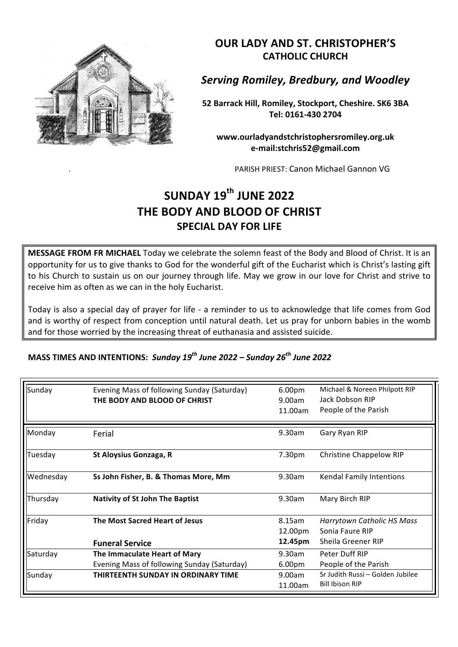

**OUR LADY AND ST. CHRISTOPHER'S CATHOLIC CHURCH**

*Serving Romiley, Bredbury, and Woodley*

**52 Barrack Hill, Romiley, Stockport, Cheshire. SK6 3BA Tel: 0161-430 2704**

**www.ourladyandstchristophersromiley.org.uk e-mail:stchris52@gmail.com**

PARISH PRIEST: Canon Michael Gannon VG

## **SUNDAY 19th JUNE 2022 THE BODY AND BLOOD OF CHRIST SPECIAL DAY FOR LIFE**

**MESSAGE FROM FR MICHAEL** Today we celebrate the solemn feast of the Body and Blood of Christ. It is an opportunity for us to give thanks to God for the wonderful gift of the Eucharist which is Christ's lasting gift to his Church to sustain us on our journey through life. May we grow in our love for Christ and strive to receive him as often as we can in the holy Eucharist.

Today is also a special day of prayer for life - a reminder to us to acknowledge that life comes from God and is worthy of respect from conception until natural death. Let us pray for unborn babies in the womb and for those worried by the increasing threat of euthanasia and assisted suicide.

| MASS TIMES AND INTENTIONS: Sunday 19 <sup>th</sup> June 2022 – Sunday 26 <sup>th</sup> June 2022 |  |  |
|--------------------------------------------------------------------------------------------------|--|--|
|--------------------------------------------------------------------------------------------------|--|--|

| Sunday    | Evening Mass of following Sunday (Saturday)<br>THE BODY AND BLOOD OF CHRIST | 6.00pm<br>9.00am<br>11.00am  | Michael & Noreen Philpott RIP<br>Jack Dobson RIP<br>People of the Parish |
|-----------|-----------------------------------------------------------------------------|------------------------------|--------------------------------------------------------------------------|
| Monday    | Ferial                                                                      | 9.30am                       | Gary Ryan RIP                                                            |
| Tuesday   | St Aloysius Gonzaga, R                                                      | 7.30pm                       | <b>Christine Chappelow RIP</b>                                           |
| Wednesday | Ss John Fisher, B. & Thomas More, Mm                                        | 9.30am                       | Kendal Family Intentions                                                 |
| Thursday  | <b>Nativity of St John The Baptist</b>                                      | 9.30am                       | Mary Birch RIP                                                           |
| Friday    | <b>The Most Sacred Heart of Jesus</b><br><b>Funeral Service</b>             | 8.15am<br>12.00pm<br>12.45pm | Harrytown Catholic HS Mass<br>Sonia Faure RIP<br>Sheila Greener RIP      |
| Saturday  | The Immaculate Heart of Mary<br>Evening Mass of following Sunday (Saturday) | 9.30am<br>6.00pm             | Peter Duff RIP<br>People of the Parish                                   |
| Sunday    | THIRTEENTH SUNDAY IN ORDINARY TIME                                          | 9.00am<br>11.00am            | Sr Judith Russi - Golden Jubilee<br><b>Bill Ibison RIP</b>               |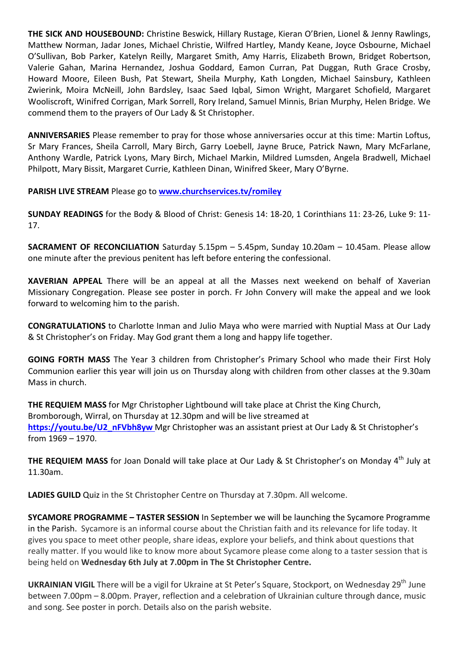**THE SICK AND HOUSEBOUND:** Christine Beswick, Hillary Rustage, Kieran O'Brien, Lionel & Jenny Rawlings, Matthew Norman, Jadar Jones, Michael Christie, Wilfred Hartley, Mandy Keane, Joyce Osbourne, Michael O'Sullivan, Bob Parker, Katelyn Reilly, Margaret Smith, Amy Harris, Elizabeth Brown, Bridget Robertson, Valerie Gahan, Marina Hernandez, Joshua Goddard, Eamon Curran, Pat Duggan, Ruth Grace Crosby, Howard Moore, Eileen Bush, Pat Stewart, Sheila Murphy, Kath Longden, Michael Sainsbury, Kathleen Zwierink, Moira McNeill, John Bardsley, Isaac Saed Iqbal, Simon Wright, Margaret Schofield, Margaret Wooliscroft, Winifred Corrigan, Mark Sorrell, Rory Ireland, Samuel Minnis, Brian Murphy, Helen Bridge. We commend them to the prayers of Our Lady & St Christopher.

**ANNIVERSARIES** Please remember to pray for those whose anniversaries occur at this time: Martin Loftus, Sr Mary Frances, Sheila Carroll, Mary Birch, Garry Loebell, Jayne Bruce, Patrick Nawn, Mary McFarlane, Anthony Wardle, Patrick Lyons, Mary Birch, Michael Markin, Mildred Lumsden, Angela Bradwell, Michael Philpott, Mary Bissit, Margaret Currie, Kathleen Dinan, Winifred Skeer, Mary O'Byrne.

**PARISH LIVE STREAM Please go to www.churchservices.tv/romilev** 

**SUNDAY READINGS** for the Body & Blood of Christ: Genesis 14: 18-20, 1 Corinthians 11: 23-26, Luke 9: 11-17.

**SACRAMENT OF RECONCILIATION** Saturday 5.15pm - 5.45pm, Sunday 10.20am - 10.45am. Please allow one minute after the previous penitent has left before entering the confessional.

**XAVERIAN APPEAL** There will be an appeal at all the Masses next weekend on behalf of Xaverian Missionary Congregation. Please see poster in porch. Fr John Convery will make the appeal and we look forward to welcoming him to the parish.

**CONGRATULATIONS** to Charlotte Inman and Julio Maya who were married with Nuptial Mass at Our Lady & St Christopher's on Friday. May God grant them a long and happy life together.

**GOING FORTH MASS** The Year 3 children from Christopher's Primary School who made their First Holy Communion earlier this year will join us on Thursday along with children from other classes at the 9.30am Mass in church.

**THE REQUIEM MASS** for Mgr Christopher Lightbound will take place at Christ the King Church, Bromborough, Wirral, on Thursday at 12.30pm and will be live streamed at https://youtu.be/U2\_nFVbh8yw Mgr Christopher was an assistant priest at Our Lady & St Christopher's from 1969 – 1970. 

**THE REQUIEM MASS** for Joan Donald will take place at Our Lady & St Christopher's on Monday 4<sup>th</sup> July at 11.30am.

**LADIES GUILD** Quiz in the St Christopher Centre on Thursday at 7.30pm. All welcome.

**SYCAMORE PROGRAMME - TASTER SESSION** In September we will be launching the Sycamore Programme in the Parish. Sycamore is an informal course about the Christian faith and its relevance for life today. It gives you space to meet other people, share ideas, explore your beliefs, and think about questions that really matter. If you would like to know more about Sycamore please come along to a taster session that is being held on Wednesday 6th July at 7.00pm in The St Christopher Centre.

**UKRAINIAN VIGIL** There will be a vigil for Ukraine at St Peter's Square, Stockport, on Wednesday 29<sup>th</sup> June between 7.00pm – 8.00pm. Prayer, reflection and a celebration of Ukrainian culture through dance, music and song. See poster in porch. Details also on the parish website.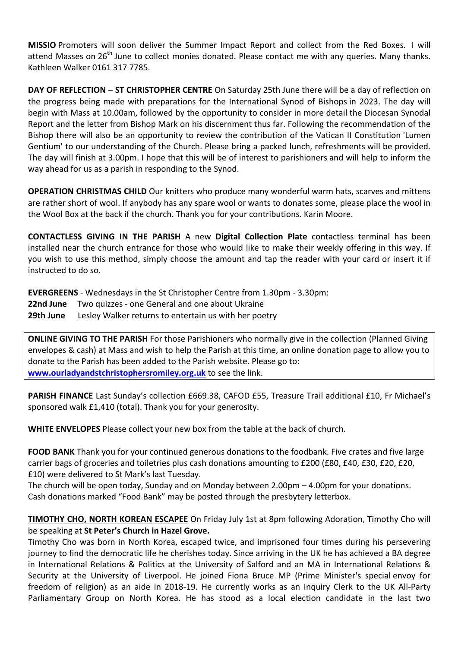**MISSIO** Promoters will soon deliver the Summer Impact Report and collect from the Red Boxes. I will attend Masses on 26<sup>th</sup> June to collect monies donated. Please contact me with any queries. Many thanks. Kathleen Walker 0161 317 7785.

**DAY OF REFLECTION – ST CHRISTOPHER CENTRE** On Saturday 25th June there will be a day of reflection on the progress being made with preparations for the International Synod of Bishops in 2023. The day will begin with Mass at 10.00am, followed by the opportunity to consider in more detail the Diocesan Synodal Report and the letter from Bishop Mark on his discernment thus far. Following the recommendation of the Bishop there will also be an opportunity to review the contribution of the Vatican II Constitution 'Lumen Gentium' to our understanding of the Church. Please bring a packed lunch, refreshments will be provided. The day will finish at 3.00pm. I hope that this will be of interest to parishioners and will help to inform the way ahead for us as a parish in responding to the Synod.

**OPERATION CHRISTMAS CHILD** Our knitters who produce many wonderful warm hats, scarves and mittens are rather short of wool. If anybody has any spare wool or wants to donates some, please place the wool in the Wool Box at the back if the church. Thank you for your contributions. Karin Moore.

**CONTACTLESS GIVING IN THE PARISH** A new **Digital Collection Plate** contactless terminal has been installed near the church entrance for those who would like to make their weekly offering in this way. If you wish to use this method, simply choose the amount and tap the reader with your card or insert it if instructed to do so. 

**EVERGREENS** - Wednesdays in the St Christopher Centre from 1.30pm - 3.30pm:

**22nd June** Two quizzes - one General and one about Ukraine

**29th June** Lesley Walker returns to entertain us with her poetry

**ONLINE GIVING TO THE PARISH** For those Parishioners who normally give in the collection (Planned Giving envelopes & cash) at Mass and wish to help the Parish at this time, an online donation page to allow you to donate to the Parish has been added to the Parish website. Please go to: www.ourladyandstchristophersromiley.org.uk to see the link.

**PARISH FINANCE** Last Sunday's collection £669.38, CAFOD £55, Treasure Trail additional £10, Fr Michael's sponsored walk £1,410 (total). Thank you for your generosity.

**WHITE ENVELOPES** Please collect your new box from the table at the back of church.

**FOOD BANK** Thank you for your continued generous donations to the foodbank. Five crates and five large carrier bags of groceries and toiletries plus cash donations amounting to  $£200$  ( $£80$ ,  $£40$ ,  $£30$ ,  $£20$ ,  $£20$ , £10) were delivered to St Mark's last Tuesday.

The church will be open today, Sunday and on Monday between  $2.00$ pm  $- 4.00$ pm for your donations. Cash donations marked "Food Bank" may be posted through the presbytery letterbox.

**TIMOTHY CHO, NORTH KOREAN ESCAPEE** On Friday July 1st at 8pm following Adoration, Timothy Cho will be speaking at St Peter's Church in Hazel Grove.

Timothy Cho was born in North Korea, escaped twice, and imprisoned four times during his persevering journey to find the democratic life he cherishes today. Since arriving in the UK he has achieved a BA degree in International Relations & Politics at the University of Salford and an MA in International Relations & Security at the University of Liverpool. He joined Fiona Bruce MP (Prime Minister's special envoy for freedom of religion) as an aide in 2018-19. He currently works as an Inquiry Clerk to the UK All-Party Parliamentary Group on North Korea. He has stood as a local election candidate in the last two